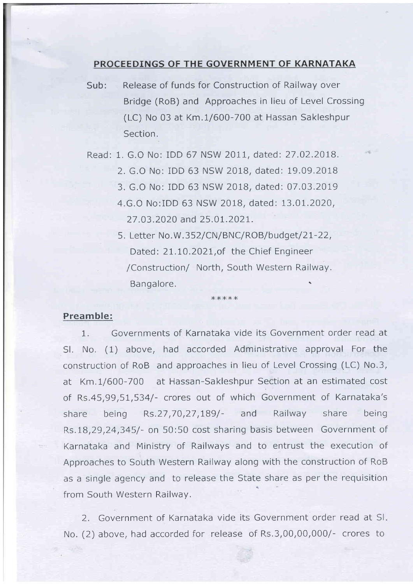## PROCEEDINGS OF THE GOVERNMENT OF KARNATAKA

Sub: Release of funds for Construction of Railway over Bridge (RoB) and Approaches in lieu of Level Crossing (LC) No 03 at Km.1/600-700 at Hassan Sakleshpur Section.

Read: 1. G.O No: IDD 67 NSW 2017, dated: 27.02.2018.

- 2. G.O No: iDD 63 NSW 2OlB, dated: 19.09.2018
- 3. G.O No: IDD 63 NSW 2OlB, dated: 07.03.2019
- 4.G.O No:IDD 63 NSW 2018, dated: 13.01.2020, 27 .03.2020 and 25 .0t.2027.
- 5. Letter No.W.352/CN/BNC/ROB/budget/21-22, Dated: 21.10.2021, of the Chief Engineer /Construction/ North, South Western Railway. Bangalore. \

\*\*\*xx

## Preamble:

1. Governments of Karnataka vide its Government order read at Sl. No. (1) above, had accorded Administrative approval For the construction of RoB and approaches in lieu of Level Crossing (LC) No.3, at Km.1/600-700 at Hassan-Sakleshpur Section at an estimated cost of Rs.45,99,51,534/- crores out of which Government of Karnataka's share being Rs.27 ,70,27 ,789/- and Railway share being Rs.1B ,29,24,345/- on 50:50 cost sharing basis between Government of Karnataka and Ministry of Railways and to entrust the execution of Approaches to South Western Railway along with the construction of RoB as a single agency and to release the State share as per the requisition from South Western Railway.

2. Government of Karnataka vide its Government order read at SI No. (2) above, had accorded for release of Rs.3,00,00,000/- crores to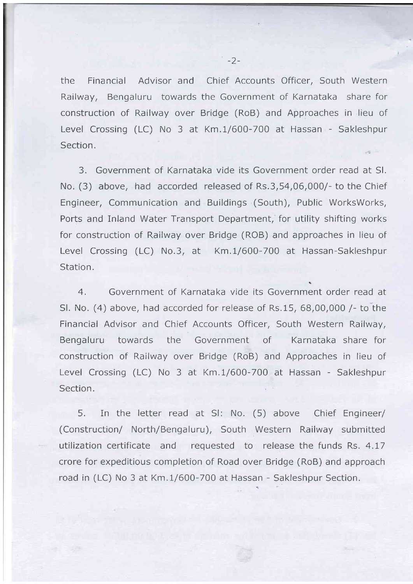the Financial Advisor and Chief Accounts Officer, South Western Railway, Bengaluru towards the Government of Karnataka share for construction of Railway over Bridge (RoB) and Approaches in lieu of Level Crossing (LC) No 3 at Km.1/600-700 at Hassan - Sakleshpur Section.

3. Government of Karnataka vide its Government order read at Sl. No. (3) above, had accorded released of Rs.3,54,06,000/- to the Chief Engineer, Communication and Buildings (South), Public WorksWorks, Ports and Inland Water Transport Department, for utility shifting works for construction of Railway over Bridge (ROB) and approaches in lieu of Level Crossing (LC) No.3, at Km.1/600-700 at Hassan-Sakleshpur Station.

4. Government of Karnataka vide its Government order read at Sl. No. (4) above, had accorded for release of Rs.15, 68,00,000 /- to the Financial Advisor and Chief Accounts Officer, South Western Railway, Bengaluru towards the Government of Karnataka share for construction of Railway over Bridge (RoB) and Approaches in lieu of Level Crossing (LC) No 3 at Km.1/600-700 at Hassan - Sakleshpur Section.

5. In the letter read at Sl: No. (5) above Chief Engineer/ (Construction/ North/Bengaluru), South Western Railway submitted utilization certificate and requested to release the funds Rs. 4.17 crore for expeditious completion of Road over Bridge (RoB) and approach road in (LC) No 3 at Km.1/600-700 at Hassan - Sakleshpur Section.

-2-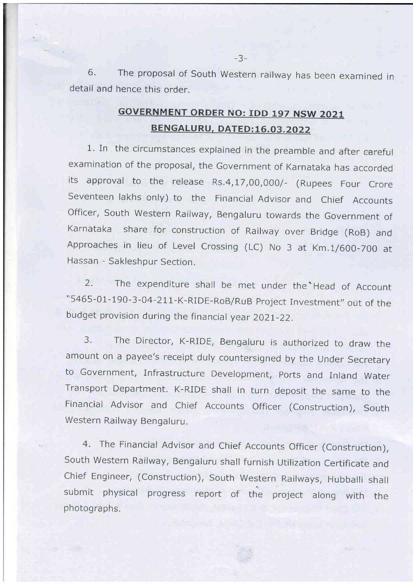6. The proposal of South Western railway has been examined in detail and hence this order.

## **GOVERNMENT ORDER NO: IDD 197 NSW 2021** BENGALURU, DATED:16.03.2022

1. In the circumstances explained in the preamble and after careful examination of the proposal, the Government of Karnataka has accorded its approval to the release Rs.4,17,00,000/- (Rupees Four Crore Seventeen lakhs only) to the Financial Advisor and Chief Accounts Officer, South Western Railway, Bengaluru towards the Government of Karnataka share for construction of Railway over Bridge (RoB) and Approaches in lieu of Level crossing (LC) No 3 at Km,1/600-700 at Hassan - Sakleshpur Section.

2. The expenditure shall be met under the Head of Account "5465-01-190-3-04-211-K-RIDE-RoB/RuB Project Investment" out of the budget provision during the financial year 2021-22.

3. The Director, K-RIDE, Bengaluru is authorized to draw the amount on a payee's receipt duly countersigned by the Under Secretary to Government, Infrastructure Development, ports and Inland Water Transport Department. K-RIDE shall in turn deposit the same to the Financial Advisor and Chief Accounts Officer (Construction), South Western Railway Bengaluru.

4. The Financial Advisor and Chief Accounts Officer (Construction), South Western Railway, Bengaluru shall furnish Utilization Certificate and Chief Engineer, (Construction), South Western Railways, Hubballi shall submit physical progress report of the project along with the ph otographs.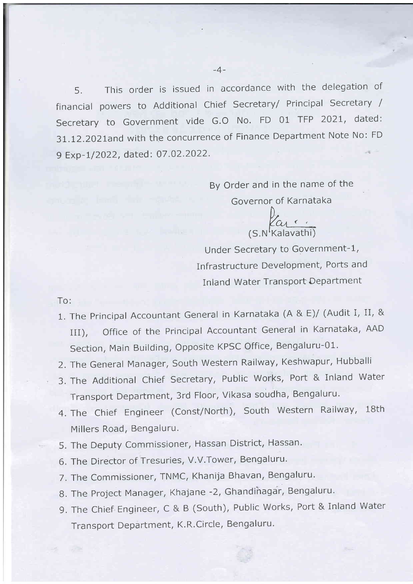5. This order is issued in accordance with the delegation of financial powers to Additional Chief Secretary/ Principal Secretary / Secretary to Government vide G.O No. FD 01 TFP 202t, dated: 31.12.2021and with the concurrence of Finance Department Note No: FD 9 Exp-1/2022, dated: 07.02.2022.

> By Order and in the name of the Governor of Karnataka

farc. (S.N<sup>I</sup>Kalavathi)

Under Secretary to Government-1, Infrastructure Development, Ports and Inland Water Transport Department

To:

- 1. The Principal Accountant General in Karnataka (A & f)/ (Audit I, II, & III), Office of the Principal Accountant General in Karnataka, AAD Section, Main Building, opposite KPSC Office, Bengaluru-01.
- 2. The General Manager, south western Railway, Keshwapur, Hubballi
- 3. The Additional Chief Secretary, Public works, Port & inland water Transport Department, 3rd Floor, Vikasa soudha, Bengaluru.
- 4. The Chief Engineer (Const/North), South Western Railway, 18th Millers Road, Bengaluru.
- 5. The Deputy commissioner, Hassan District, Hassan.
- 6. The Director of Tresuries, V.V.Tower, Bengaluru.
- 7. The commissioner, TNMC, Khanija Bhavan, Bengaluru.
- 8. The Project Manager, Khajane -2, Ghandinagar, Bengaluru.
- 9. The Chief Engineer, C & B (South), Public Works, Port & Inland Water Transport Department, K.R.Circle, Bengaluru.